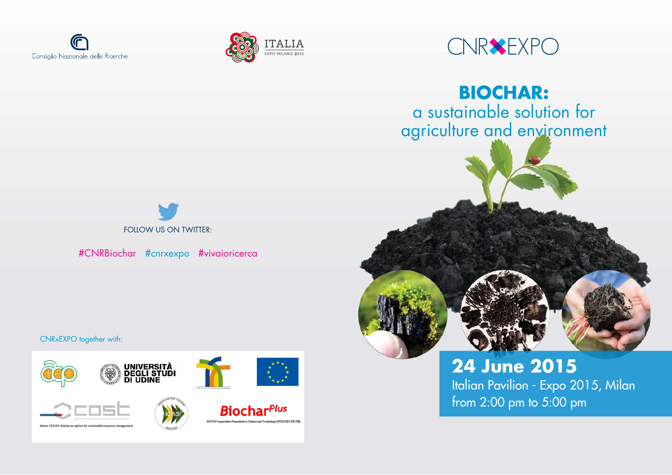

CNRxEXPO together with:





# #CNRBiochar #cnrxexpo #vivaioricerca





**BIOCHAR:** a sustainable solution for agriculture and environment

> **24 June 2015** Italian Pavilion - Expo 2015, Milan from 2:00 pm to 5:00 pm